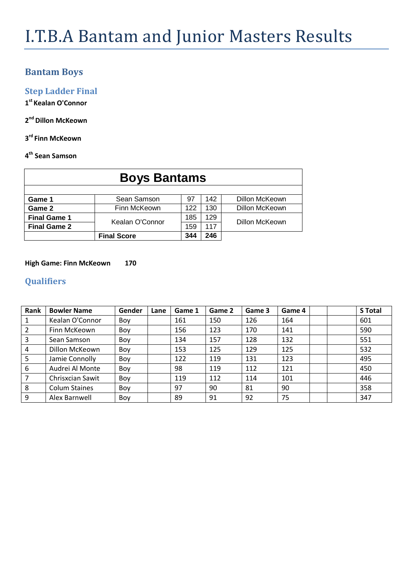### **Bantam Boys**

**Step Ladder Final**

**1 st Kealan O'Connor**

**2 nd Dillon McKeown**

**3 rd Finn McKeown**

#### **4 th Sean Samson**

| <b>Boys Bantams</b> |                    |     |     |                |  |  |  |  |  |  |
|---------------------|--------------------|-----|-----|----------------|--|--|--|--|--|--|
|                     |                    |     |     |                |  |  |  |  |  |  |
| Game 1              | Sean Samson        | 97  | 142 | Dillon McKeown |  |  |  |  |  |  |
| Game 2              | Finn McKeown       | 122 | 130 | Dillon McKeown |  |  |  |  |  |  |
| <b>Final Game 1</b> | Kealan O'Connor    | 185 | 129 | Dillon McKeown |  |  |  |  |  |  |
| <b>Final Game 2</b> |                    | 159 | 117 |                |  |  |  |  |  |  |
|                     | <b>Final Score</b> | 344 | 246 |                |  |  |  |  |  |  |

#### **High Game: Finn McKeown 170**

| Rank           | <b>Bowler Name</b>   | Gender | Lane | Game 1 | Game 2 | Game 3 | Game 4 | <b>S</b> Total |
|----------------|----------------------|--------|------|--------|--------|--------|--------|----------------|
|                | Kealan O'Connor      | Boy    |      | 161    | 150    | 126    | 164    | 601            |
| 2              | Finn McKeown         | Boy    |      | 156    | 123    | 170    | 141    | 590            |
| 3              | Sean Samson          | Boy    |      | 134    | 157    | 128    | 132    | 551            |
| $\overline{4}$ | Dillon McKeown       | Boy    |      | 153    | 125    | 129    | 125    | 532            |
| 5              | Jamie Connolly       | Boy    |      | 122    | 119    | 131    | 123    | 495            |
| 6              | Audrei Al Monte      | Boy    |      | 98     | 119    | 112    | 121    | 450            |
|                | Chrisxcian Sawit     | Boy    |      | 119    | 112    | 114    | 101    | 446            |
| 8              | <b>Colum Staines</b> | Boy    |      | 97     | 90     | 81     | 90     | 358            |
| 9              | Alex Barnwell        | Boy    |      | 89     | 91     | 92     | 75     | 347            |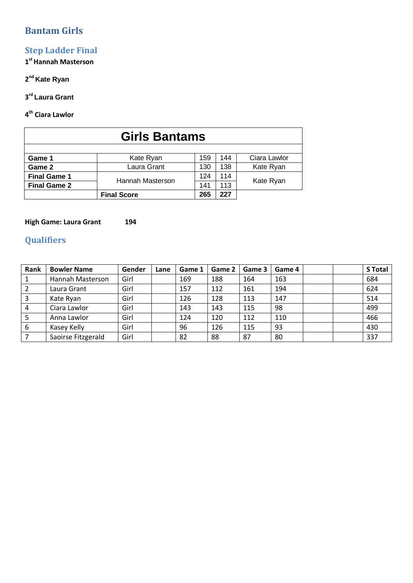# **Bantam Girls**

# **Step Ladder Final**

**1 stHannah Masterson**

#### **2 nd Kate Ryan**

#### **3 rd Laura Grant**

#### **4 th Ciara Lawlor**

| <b>Girls Bantams</b> |                    |     |     |              |  |  |  |  |  |  |
|----------------------|--------------------|-----|-----|--------------|--|--|--|--|--|--|
| Game 1               | Kate Ryan          | 159 | 144 | Ciara Lawlor |  |  |  |  |  |  |
| Game 2               | Laura Grant        | 130 | 138 | Kate Ryan    |  |  |  |  |  |  |
| <b>Final Game 1</b>  | Hannah Masterson   | 124 | 114 |              |  |  |  |  |  |  |
| <b>Final Game 2</b>  |                    | 141 | 113 | Kate Ryan    |  |  |  |  |  |  |
|                      | <b>Final Score</b> | 265 | 227 |              |  |  |  |  |  |  |

#### **High Game: Laura Grant 194**

| Rank | <b>Bowler Name</b> | Gender | Lane | Game 1 | Game 2 | Game 3 | Game 4 |  | <b>S</b> Total |
|------|--------------------|--------|------|--------|--------|--------|--------|--|----------------|
|      | Hannah Masterson   | Girl   |      | 169    | 188    | 164    | 163    |  | 684            |
|      | Laura Grant        | Girl   |      | 157    | 112    | 161    | 194    |  | 624            |
|      | Kate Ryan          | Girl   |      | 126    | 128    | 113    | 147    |  | 514            |
| 4    | Ciara Lawlor       | Girl   |      | 143    | 143    | 115    | 98     |  | 499            |
|      | Anna Lawlor        | Girl   |      | 124    | 120    | 112    | 110    |  | 466            |
| 6    | Kasey Kelly        | Girl   |      | 96     | 126    | 115    | 93     |  | 430            |
|      | Saoirse Fitzgerald | Girl   |      | 82     | 88     | 87     | 80     |  | 337            |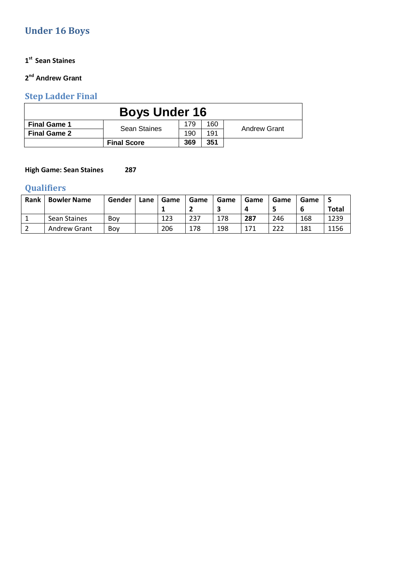# **Under 16 Boys**

#### **1 st Sean Staines**

#### **2 nd Andrew Grant**

# **Step Ladder Final**

|                     | <b>Boys Under 16</b> |     |     |                     |  |  |  |  |  |  |  |
|---------------------|----------------------|-----|-----|---------------------|--|--|--|--|--|--|--|
| <b>Final Game 1</b> | <b>Sean Staines</b>  | 179 | 160 | <b>Andrew Grant</b> |  |  |  |  |  |  |  |
| <b>Final Game 2</b> |                      | 190 | 191 |                     |  |  |  |  |  |  |  |
|                     | <b>Final Score</b>   | 369 | 351 |                     |  |  |  |  |  |  |  |

#### **High Game: Sean Staines 287**

| Rank | <b>Bowler Name</b>  | Gender | Lane | Game | Game | Game | Game | Game | Game |       |
|------|---------------------|--------|------|------|------|------|------|------|------|-------|
|      |                     |        |      |      | -    |      |      |      |      | Total |
|      | Sean Staines        | Bov    |      | 123  | 237  | 178  | 287  | 246  | 168  | 1239  |
|      | <b>Andrew Grant</b> | Bov    |      | 206  | 178  | 198  | 171  | 222  | 181  | 1156  |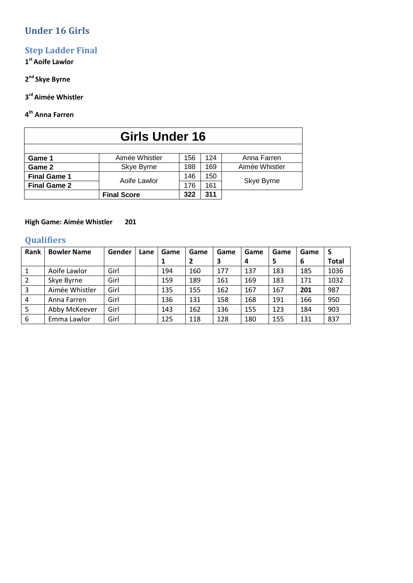# **Under 16 Girls**

# **Step Ladder Final**

#### **1 stAoife Lawlor**

#### **2 nd Skye Byrne**

#### **3 rd Aimée Whistler**

#### **4 th Anna Farren**

| <b>Girls Under 16</b> |                    |     |     |                |  |  |  |  |  |  |  |  |
|-----------------------|--------------------|-----|-----|----------------|--|--|--|--|--|--|--|--|
|                       |                    |     |     |                |  |  |  |  |  |  |  |  |
| Game 1                | Aimée Whistler     | 156 | 124 | Anna Farren    |  |  |  |  |  |  |  |  |
| Game 2                | Skye Byrne         | 188 | 169 | Aimée Whistler |  |  |  |  |  |  |  |  |
| <b>Final Game 1</b>   | Aoife Lawlor       | 146 | 150 |                |  |  |  |  |  |  |  |  |
| <b>Final Game 2</b>   |                    | 176 | 161 | Skye Byrne     |  |  |  |  |  |  |  |  |
|                       | <b>Final Score</b> | 322 | 311 |                |  |  |  |  |  |  |  |  |

#### **High Game: Aimée Whistler 201**

| Rank | <b>Bowler Name</b> | Gender | Lane | Game | Game | Game | Game | Game | Game | <b>S</b>     |
|------|--------------------|--------|------|------|------|------|------|------|------|--------------|
|      |                    |        |      |      | 2    | 3    | 4    | 5    | 6    | <b>Total</b> |
| -1   | Aoife Lawlor       | Girl   |      | 194  | 160  | 177  | 137  | 183  | 185  | 1036         |
| 2    | Skye Byrne         | Girl   |      | 159  | 189  | 161  | 169  | 183  | 171  | 1032         |
| 3    | Aimée Whistler     | Girl   |      | 135  | 155  | 162  | 167  | 167  | 201  | 987          |
| 4    | Anna Farren        | Girl   |      | 136  | 131  | 158  | 168  | 191  | 166  | 950          |
| 5    | Abby McKeever      | Girl   |      | 143  | 162  | 136  | 155  | 123  | 184  | 903          |
| 6    | Emma Lawlor        | Girl   |      | 125  | 118  | 128  | 180  | 155  | 131  | 837          |